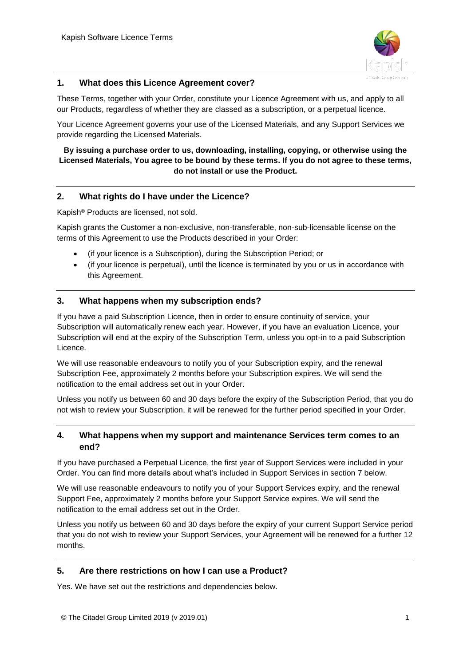

### **1. What does this Licence Agreement cover?**

These Terms, together with your Order, constitute your Licence Agreement with us, and apply to all our Products, regardless of whether they are classed as a subscription, or a perpetual licence.

Your Licence Agreement governs your use of the Licensed Materials, and any Support Services we provide regarding the Licensed Materials.

**By issuing a purchase order to us, downloading, installing, copying, or otherwise using the Licensed Materials, You agree to be bound by these terms. If you do not agree to these terms, do not install or use the Product.**

### **2. What rights do I have under the Licence?**

Kapish® Products are licensed, not sold.

Kapish grants the Customer a non-exclusive, non-transferable, non-sub-licensable license on the terms of this Agreement to use the Products described in your Order:

- (if your licence is a Subscription), during the Subscription Period; or
- (if your licence is perpetual), until the licence is terminated by you or us in accordance with this Agreement.

### <span id="page-0-0"></span>**3. What happens when my subscription ends?**

If you have a paid Subscription Licence, then in order to ensure continuity of service, your Subscription will automatically renew each year. However, if you have an evaluation Licence, your Subscription will end at the expiry of the Subscription Term, unless you opt-in to a paid Subscription Licence.

We will use reasonable endeavours to notify you of your Subscription expiry, and the renewal Subscription Fee, approximately 2 months before your Subscription expires. We will send the notification to the email address set out in your Order.

Unless you notify us between 60 and 30 days before the expiry of the Subscription Period, that you do not wish to review your Subscription, it will be renewed for the further period specified in your Order.

## <span id="page-0-1"></span>**4. What happens when my support and maintenance Services term comes to an end?**

If you have purchased a Perpetual Licence, the first year of Support Services were included in your Order. You can find more details about what's included in Support Services in section [7](#page-1-0) below.

We will use reasonable endeavours to notify you of your Support Services expiry, and the renewal Support Fee, approximately 2 months before your Support Service expires. We will send the notification to the email address set out in the Order.

Unless you notify us between 60 and 30 days before the expiry of your current Support Service period that you do not wish to review your Support Services, your Agreement will be renewed for a further 12 months.

### **5. Are there restrictions on how I can use a Product?**

Yes. We have set out the restrictions and dependencies below.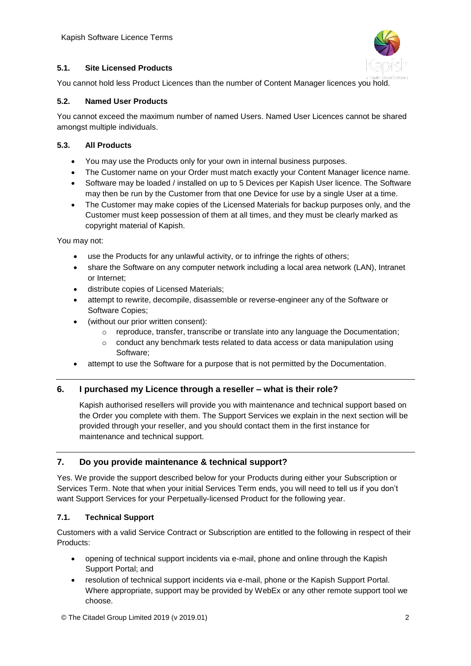

#### **5.1. Site Licensed Products**

You cannot hold less Product Licences than the number of Content Manager licences you hold.

#### **5.2. Named User Products**

You cannot exceed the maximum number of named Users. Named User Licences cannot be shared amongst multiple individuals.

#### **5.3. All Products**

- You may use the Products only for your own in internal business purposes.
- The Customer name on your Order must match exactly your Content Manager licence name.
- Software may be loaded / installed on up to 5 Devices per Kapish User licence. The Software may then be run by the Customer from that one Device for use by a single User at a time.
- The Customer may make copies of the Licensed Materials for backup purposes only, and the Customer must keep possession of them at all times, and they must be clearly marked as copyright material of Kapish.

You may not:

- use the Products for any unlawful activity, or to infringe the rights of others;
- share the Software on any computer network including a local area network (LAN), Intranet or Internet;
- distribute copies of Licensed Materials;
- attempt to rewrite, decompile, disassemble or reverse-engineer any of the Software or Software Copies;
- (without our prior written consent):
	- $\circ$  reproduce, transfer, transcribe or translate into any language the Documentation;
	- $\circ$  conduct any benchmark tests related to data access or data manipulation using Software;
- attempt to use the Software for a purpose that is not permitted by the Documentation.

### <span id="page-1-1"></span>**6. I purchased my Licence through a reseller – what is their role?**

Kapish authorised resellers will provide you with maintenance and technical support based on the Order you complete with them. The Support Services we explain in the next section will be provided through your reseller, and you should contact them in the first instance for maintenance and technical support.

### <span id="page-1-0"></span>**7. Do you provide maintenance & technical support?**

Yes. We provide the support described below for your Products during either your Subscription or Services Term. Note that when your initial Services Term ends, you will need to tell us if you don't want Support Services for your Perpetually-licensed Product for the following year.

### **7.1. Technical Support**

Customers with a valid Service Contract or Subscription are entitled to the following in respect of their Products:

- opening of technical support incidents via e-mail, phone and online through the Kapish Support Portal; and
- resolution of technical support incidents via e-mail, phone or the Kapish Support Portal. Where appropriate, support may be provided by WebEx or any other remote support tool we choose.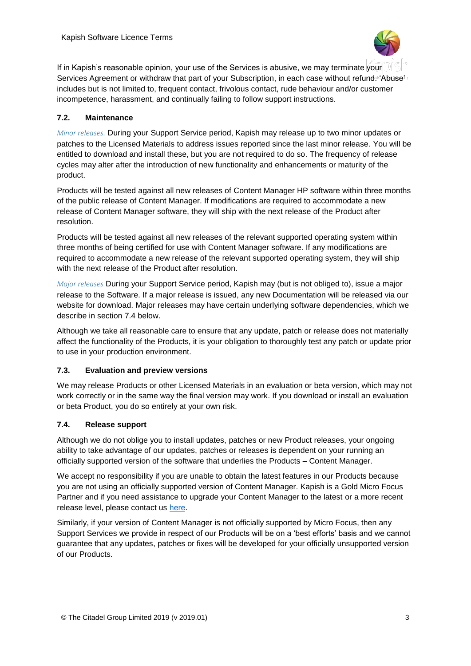

If in Kapish's reasonable opinion, your use of the Services is abusive, we may terminate your Services Agreement or withdraw that part of your Subscription, in each case without refund. 'Abuse' includes but is not limited to, frequent contact, frivolous contact, rude behaviour and/or customer incompetence, harassment, and continually failing to follow support instructions.

## **7.2. Maintenance**

*Minor releases.* During your Support Service period, Kapish may release up to two minor updates or patches to the Licensed Materials to address issues reported since the last minor release. You will be entitled to download and install these, but you are not required to do so. The frequency of release cycles may alter after the introduction of new functionality and enhancements or maturity of the product.

Products will be tested against all new releases of Content Manager HP software within three months of the public release of Content Manager. If modifications are required to accommodate a new release of Content Manager software, they will ship with the next release of the Product after resolution.

Products will be tested against all new releases of the relevant supported operating system within three months of being certified for use with Content Manager software. If any modifications are required to accommodate a new release of the relevant supported operating system, they will ship with the next release of the Product after resolution.

*Major releases* During your Support Service period, Kapish may (but is not obliged to), issue a major release to the Software. If a major release is issued, any new Documentation will be released via our website for download. Major releases may have certain underlying software dependencies, which we describe in section [7.4](#page-2-0) below.

Although we take all reasonable care to ensure that any update, patch or release does not materially affect the functionality of the Products, it is your obligation to thoroughly test any patch or update prior to use in your production environment.

### **7.3. Evaluation and preview versions**

We may release Products or other Licensed Materials in an evaluation or beta version, which may not work correctly or in the same way the final version may work. If you download or install an evaluation or beta Product, you do so entirely at your own risk.

### <span id="page-2-0"></span>**7.4. Release support**

Although we do not oblige you to install updates, patches or new Product releases, your ongoing ability to take advantage of our updates, patches or releases is dependent on your running an officially supported version of the software that underlies the Products – Content Manager.

We accept no responsibility if you are unable to obtain the latest features in our Products because you are not using an officially supported version of Content Manager. Kapish is a Gold Micro Focus Partner and if you need assistance to upgrade your Content Manager to the latest or a more recent release level, please contact us [here.](mailto:Sales@kapish.com.au?subject=Email%20Enquiry)

Similarly, if your version of Content Manager is not officially supported by Micro Focus, then any Support Services we provide in respect of our Products will be on a 'best efforts' basis and we cannot guarantee that any updates, patches or fixes will be developed for your officially unsupported version of our Products.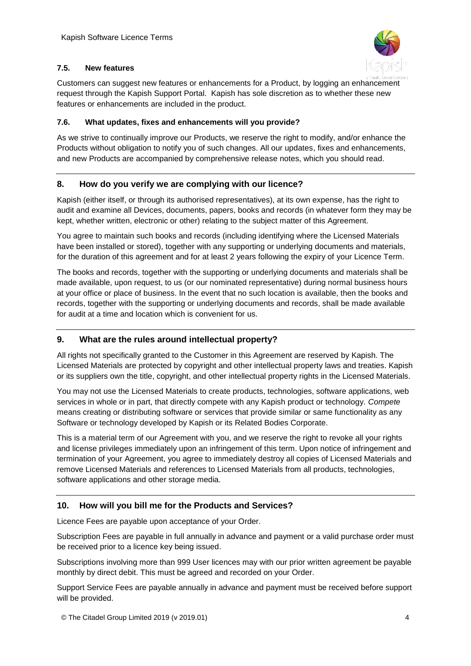

### **7.5. New features**

Customers can suggest new features or enhancements for a Product, by logging an enhancement request through the Kapish Support Portal. Kapish has sole discretion as to whether these new features or enhancements are included in the product.

### **7.6. What updates, fixes and enhancements will you provide?**

As we strive to continually improve our Products, we reserve the right to modify, and/or enhance the Products without obligation to notify you of such changes. All our updates, fixes and enhancements, and new Products are accompanied by comprehensive release notes, which you should read.

## **8. How do you verify we are complying with our licence?**

Kapish (either itself, or through its authorised representatives), at its own expense, has the right to audit and examine all Devices, documents, papers, books and records (in whatever form they may be kept, whether written, electronic or other) relating to the subject matter of this Agreement.

You agree to maintain such books and records (including identifying where the Licensed Materials have been installed or stored), together with any supporting or underlying documents and materials, for the duration of this agreement and for at least 2 years following the expiry of your Licence Term.

The books and records, together with the supporting or underlying documents and materials shall be made available, upon request, to us (or our nominated representative) during normal business hours at your office or place of business. In the event that no such location is available, then the books and records, together with the supporting or underlying documents and records, shall be made available for audit at a time and location which is convenient for us.

# **9. What are the rules around intellectual property?**

All rights not specifically granted to the Customer in this Agreement are reserved by Kapish. The Licensed Materials are protected by copyright and other intellectual property laws and treaties. Kapish or its suppliers own the title, copyright, and other intellectual property rights in the Licensed Materials.

You may not use the Licensed Materials to create products, technologies, software applications, web services in whole or in part, that directly compete with any Kapish product or technology. *Compete* means creating or distributing software or services that provide similar or same functionality as any Software or technology developed by Kapish or its Related Bodies Corporate.

This is a material term of our Agreement with you, and we reserve the right to revoke all your rights and license privileges immediately upon an infringement of this term. Upon notice of infringement and termination of your Agreement, you agree to immediately destroy all copies of Licensed Materials and remove Licensed Materials and references to Licensed Materials from all products, technologies, software applications and other storage media.

# **10. How will you bill me for the Products and Services?**

Licence Fees are payable upon acceptance of your Order.

Subscription Fees are payable in full annually in advance and payment or a valid purchase order must be received prior to a licence key being issued.

Subscriptions involving more than 999 User licences may with our prior written agreement be payable monthly by direct debit. This must be agreed and recorded on your Order.

Support Service Fees are payable annually in advance and payment must be received before support will be provided.

© The Citadel Group Limited 2019 (v 2019.01) 4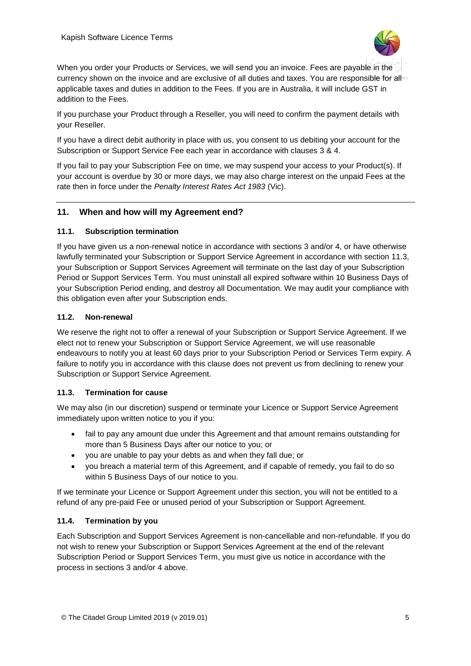

When you order your Products or Services, we will send you an invoice. Fees are payable in the currency shown on the invoice and are exclusive of all duties and taxes. You are responsible for all applicable taxes and duties in addition to the Fees. If you are in Australia, it will include GST in addition to the Fees.

If you purchase your Product through a Reseller, you will need to confirm the payment details with your Reseller.

If you have a direct debit authority in place with us, you consent to us debiting your account for the Subscription or Support Service Fee each year in accordance with clauses [3](#page-0-0) & [4.](#page-0-1)

If you fail to pay your Subscription Fee on time, we may suspend your access to your Product(s). If your account is overdue by 30 or more days, we may also charge interest on the unpaid Fees at the rate then in force under the *Penalty Interest Rates Act 1983* (Vic).

#### **11. When and how will my Agreement end?**

#### **11.1. Subscription termination**

If you have given us a non-renewal notice in accordance with sections [3](#page-0-0) and/or [4,](#page-0-1) or have otherwise lawfully terminated your Subscription or Support Service Agreement in accordance with section [11.3,](#page-4-0) your Subscription or Support Services Agreement will terminate on the last day of your Subscription Period or Support Services Term. You must uninstall all expired software within 10 Business Days of your Subscription Period ending, and destroy all Documentation. We may audit your compliance with this obligation even after your Subscription ends.

#### **11.2. Non-renewal**

We reserve the right not to offer a renewal of your Subscription or Support Service Agreement. If we elect not to renew your Subscription or Support Service Agreement, we will use reasonable endeavours to notify you at least 60 days prior to your Subscription Period or Services Term expiry. A failure to notify you in accordance with this clause does not prevent us from declining to renew your Subscription or Support Service Agreement.

#### <span id="page-4-0"></span>**11.3. Termination for cause**

We may also (in our discretion) suspend or terminate your Licence or Support Service Agreement immediately upon written notice to you if you:

- fail to pay any amount due under this Agreement and that amount remains outstanding for more than 5 Business Days after our notice to you; or
- you are unable to pay your debts as and when they fall due; or
- you breach a material term of this Agreement, and if capable of remedy, you fail to do so within 5 Business Days of our notice to you.

If we terminate your Licence or Support Agreement under this section, you will not be entitled to a refund of any pre-paid Fee or unused period of your Subscription or Support Agreement.

#### **11.4. Termination by you**

Each Subscription and Support Services Agreement is non-cancellable and non-refundable. If you do not wish to renew your Subscription or Support Services Agreement at the end of the relevant Subscription Period or Support Services Term, you must give us notice in accordance with the process in sections [3](#page-0-0) and/or [4](#page-0-1) above.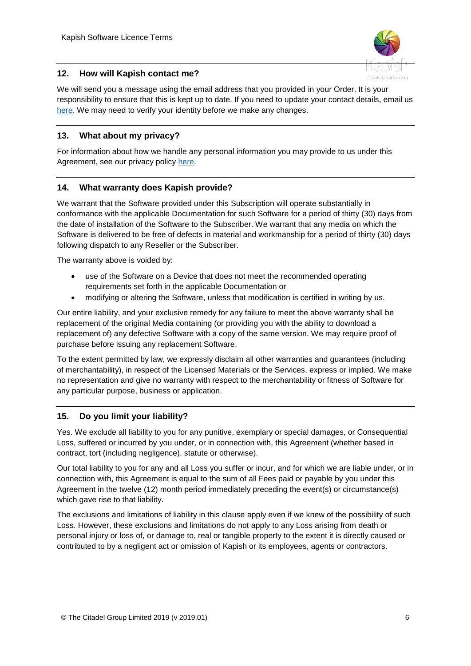

### **12. How will Kapish contact me?**

We will send you a message using the email address that you provided in your Order. It is your responsibility to ensure that this is kept up to date. If you need to update your contact details, email us [here.](mailto:Sales@kapish.com.au?subject=Change%20of%20Contact%20Details) We may need to verify your identity before we make any changes.

### **13. What about my privacy?**

For information about how we handle any personal information you may provide to us under this Agreement, see our privacy policy [here.](https://citadelgroup.com.au/privacy-policy/)

## **14. What warranty does Kapish provide?**

We warrant that the Software provided under this Subscription will operate substantially in conformance with the applicable Documentation for such Software for a period of thirty (30) days from the date of installation of the Software to the Subscriber. We warrant that any media on which the Software is delivered to be free of defects in material and workmanship for a period of thirty (30) days following dispatch to any Reseller or the Subscriber.

The warranty above is voided by:

- use of the Software on a Device that does not meet the recommended operating requirements set forth in the applicable Documentation or
- modifying or altering the Software, unless that modification is certified in writing by us.

Our entire liability, and your exclusive remedy for any failure to meet the above warranty shall be replacement of the original Media containing (or providing you with the ability to download a replacement of) any defective Software with a copy of the same version. We may require proof of purchase before issuing any replacement Software.

To the extent permitted by law, we expressly disclaim all other warranties and guarantees (including of merchantability), in respect of the Licensed Materials or the Services, express or implied. We make no representation and give no warranty with respect to the merchantability or fitness of Software for any particular purpose, business or application.

### **15. Do you limit your liability?**

Yes. We exclude all liability to you for any punitive, exemplary or special damages, or Consequential Loss, suffered or incurred by you under, or in connection with, this Agreement (whether based in contract, tort (including negligence), statute or otherwise).

Our total liability to you for any and all Loss you suffer or incur, and for which we are liable under, or in connection with, this Agreement is equal to the sum of all Fees paid or payable by you under this Agreement in the twelve (12) month period immediately preceding the event(s) or circumstance(s) which gave rise to that liability.

The exclusions and limitations of liability in this clause apply even if we knew of the possibility of such Loss. However, these exclusions and limitations do not apply to any Loss arising from death or personal injury or loss of, or damage to, real or tangible property to the extent it is directly caused or contributed to by a negligent act or omission of Kapish or its employees, agents or contractors.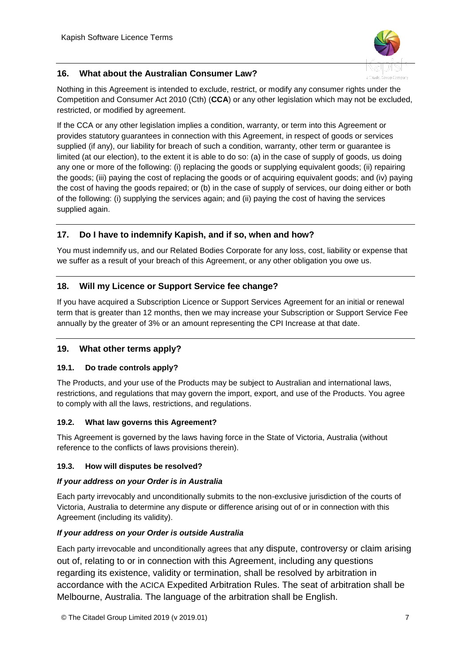

## **16. What about the Australian Consumer Law?**

Nothing in this Agreement is intended to exclude, restrict, or modify any consumer rights under the Competition and Consumer Act 2010 (Cth) (**CCA**) or any other legislation which may not be excluded, restricted, or modified by agreement.

If the CCA or any other legislation implies a condition, warranty, or term into this Agreement or provides statutory guarantees in connection with this Agreement, in respect of goods or services supplied (if any), our liability for breach of such a condition, warranty, other term or guarantee is limited (at our election), to the extent it is able to do so: (a) in the case of supply of goods, us doing any one or more of the following: (i) replacing the goods or supplying equivalent goods; (ii) repairing the goods; (iii) paying the cost of replacing the goods or of acquiring equivalent goods; and (iv) paying the cost of having the goods repaired; or (b) in the case of supply of services, our doing either or both of the following: (i) supplying the services again; and (ii) paying the cost of having the services supplied again.

## **17. Do I have to indemnify Kapish, and if so, when and how?**

You must indemnify us, and our Related Bodies Corporate for any loss, cost, liability or expense that we suffer as a result of your breach of this Agreement, or any other obligation you owe us.

# **18. Will my Licence or Support Service fee change?**

If you have acquired a Subscription Licence or Support Services Agreement for an initial or renewal term that is greater than 12 months, then we may increase your Subscription or Support Service Fee annually by the greater of 3% or an amount representing the CPI Increase at that date.

### **19. What other terms apply?**

#### **19.1. Do trade controls apply?**

The Products, and your use of the Products may be subject to Australian and international laws, restrictions, and regulations that may govern the import, export, and use of the Products. You agree to comply with all the laws, restrictions, and regulations.

#### **19.2. What law governs this Agreement?**

This Agreement is governed by the laws having force in the State of Victoria, Australia (without reference to the conflicts of laws provisions therein).

#### **19.3. How will disputes be resolved?**

#### *If your address on your Order is in Australia*

Each party irrevocably and unconditionally submits to the non-exclusive jurisdiction of the courts of Victoria, Australia to determine any dispute or difference arising out of or in connection with this Agreement (including its validity).

#### *If your address on your Order is outside Australia*

Each party irrevocable and unconditionally agrees that any dispute, controversy or claim arising out of, relating to or in connection with this Agreement, including any questions regarding its existence, validity or termination, shall be resolved by arbitration in accordance with the ACICA Expedited Arbitration Rules. The seat of arbitration shall be Melbourne, Australia. The language of the arbitration shall be English.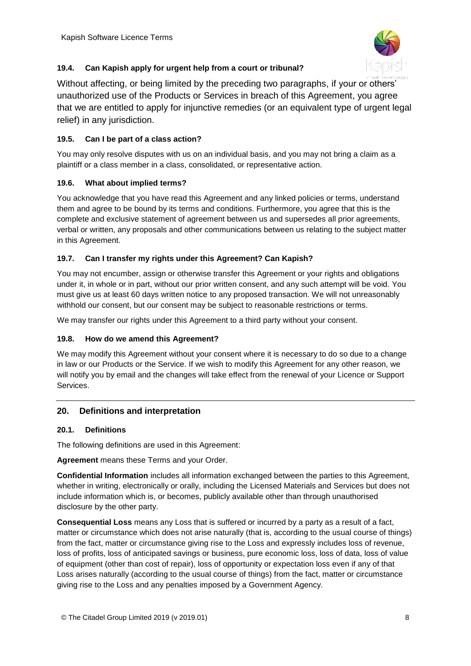

## **19.4. Can Kapish apply for urgent help from a court or tribunal?**

Without affecting, or being limited by the preceding two paragraphs, if your or others' unauthorized use of the Products or Services in breach of this Agreement, you agree that we are entitled to apply for injunctive remedies (or an equivalent type of urgent legal relief) in any jurisdiction.

## **19.5. Can I be part of a class action?**

You may only resolve disputes with us on an individual basis, and you may not bring a claim as a plaintiff or a class member in a class, consolidated, or representative action.

### **19.6. What about implied terms?**

You acknowledge that you have read this Agreement and any linked policies or terms, understand them and agree to be bound by its terms and conditions. Furthermore, you agree that this is the complete and exclusive statement of agreement between us and supersedes all prior agreements, verbal or written, any proposals and other communications between us relating to the subject matter in this Agreement.

### **19.7. Can I transfer my rights under this Agreement? Can Kapish?**

You may not encumber, assign or otherwise transfer this Agreement or your rights and obligations under it, in whole or in part, without our prior written consent, and any such attempt will be void. You must give us at least 60 days written notice to any proposed transaction. We will not unreasonably withhold our consent, but our consent may be subject to reasonable restrictions or terms.

We may transfer our rights under this Agreement to a third party without your consent.

### **19.8. How do we amend this Agreement?**

We may modify this Agreement without your consent where it is necessary to do so due to a change in law or our Products or the Service. If we wish to modify this Agreement for any other reason, we will notify you by email and the changes will take effect from the renewal of your Licence or Support Services.

# **20. Definitions and interpretation**

#### **20.1. Definitions**

The following definitions are used in this Agreement:

**Agreement** means these Terms and your Order.

**Confidential Information** includes all information exchanged between the parties to this Agreement, whether in writing, electronically or orally, including the Licensed Materials and Services but does not include information which is, or becomes, publicly available other than through unauthorised disclosure by the other party.

**Consequential Loss** means any Loss that is suffered or incurred by a party as a result of a fact, matter or circumstance which does not arise naturally (that is, according to the usual course of things) from the fact, matter or circumstance giving rise to the Loss and expressly includes loss of revenue, loss of profits, loss of anticipated savings or business, pure economic loss, loss of data, loss of value of equipment (other than cost of repair), loss of opportunity or expectation loss even if any of that Loss arises naturally (according to the usual course of things) from the fact, matter or circumstance giving rise to the Loss and any penalties imposed by a Government Agency.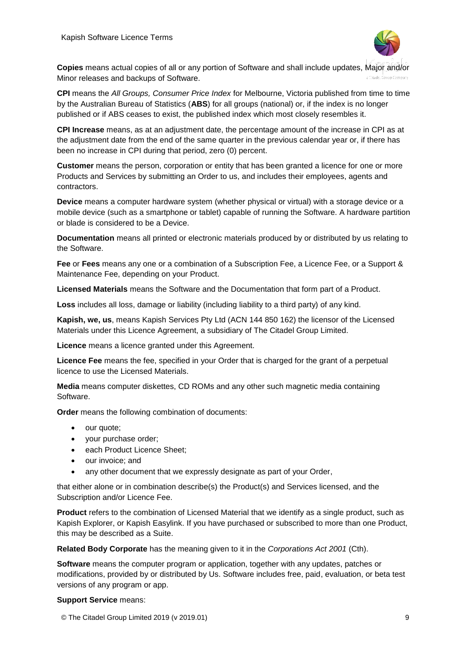

**Copies** means actual copies of all or any portion of Software and shall include updates, Major and/or Minor releases and backups of Software.

**CPI** means the *All Groups, Consumer Price Index* for Melbourne, Victoria published from time to time by the Australian Bureau of Statistics (**ABS**) for all groups (national) or, if the index is no longer published or if ABS ceases to exist, the published index which most closely resembles it.

**CPI Increase** means, as at an adjustment date, the percentage amount of the increase in CPI as at the adjustment date from the end of the same quarter in the previous calendar year or, if there has been no increase in CPI during that period, zero (0) percent.

**Customer** means the person, corporation or entity that has been granted a licence for one or more Products and Services by submitting an Order to us, and includes their employees, agents and contractors.

**Device** means a computer hardware system (whether physical or virtual) with a storage device or a mobile device (such as a smartphone or tablet) capable of running the Software. A hardware partition or blade is considered to be a Device.

**Documentation** means all printed or electronic materials produced by or distributed by us relating to the Software.

**Fee** or **Fees** means any one or a combination of a Subscription Fee, a Licence Fee, or a Support & Maintenance Fee, depending on your Product.

**Licensed Materials** means the Software and the Documentation that form part of a Product.

**Loss** includes all loss, damage or liability (including liability to a third party) of any kind.

**Kapish, we, us**, means Kapish Services Pty Ltd (ACN 144 850 162) the licensor of the Licensed Materials under this Licence Agreement, a subsidiary of The Citadel Group Limited.

**Licence** means a licence granted under this Agreement.

**Licence Fee** means the fee, specified in your Order that is charged for the grant of a perpetual licence to use the Licensed Materials.

**Media** means computer diskettes, CD ROMs and any other such magnetic media containing Software.

**Order** means the following combination of documents:

- our quote;
- your purchase order;
- each Product Licence Sheet;
- our invoice; and
- any other document that we expressly designate as part of your Order,

that either alone or in combination describe(s) the Product(s) and Services licensed, and the Subscription and/or Licence Fee.

**Product** refers to the combination of Licensed Material that we identify as a single product, such as Kapish Explorer, or Kapish Easylink. If you have purchased or subscribed to more than one Product, this may be described as a Suite.

**Related Body Corporate** has the meaning given to it in the *Corporations Act 2001* (Cth).

**Software** means the computer program or application, together with any updates, patches or modifications, provided by or distributed by Us. Software includes free, paid, evaluation, or beta test versions of any program or app.

#### **Support Service** means:

© The Citadel Group Limited 2019 (v 2019.01) 9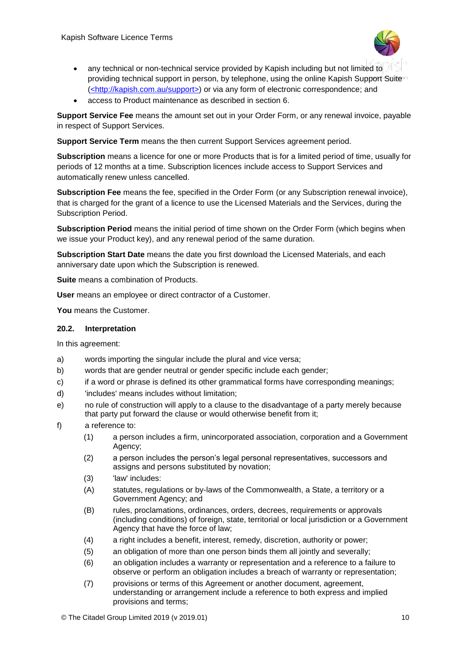

- any technical or non-technical service provided by Kapish including but not limited to providing technical support in person, by telephone, using the online Kapish Support Suite (<http://kapish.com.au/support>) or via any form of electronic correspondence; and
- access to Product maintenance as described in section [6.](#page-1-1)

**Support Service Fee** means the amount set out in your Order Form, or any renewal invoice, payable in respect of Support Services.

**Support Service Term** means the then current Support Services agreement period.

**Subscription** means a licence for one or more Products that is for a limited period of time, usually for periods of 12 months at a time. Subscription licences include access to Support Services and automatically renew unless cancelled.

**Subscription Fee** means the fee, specified in the Order Form (or any Subscription renewal invoice), that is charged for the grant of a licence to use the Licensed Materials and the Services, during the Subscription Period.

**Subscription Period** means the initial period of time shown on the Order Form (which begins when we issue your Product key), and any renewal period of the same duration.

**Subscription Start Date** means the date you first download the Licensed Materials, and each anniversary date upon which the Subscription is renewed.

**Suite** means a combination of Products.

**User** means an employee or direct contractor of a Customer.

**You** means the Customer.

#### **20.2. Interpretation**

In this agreement:

- a) words importing the singular include the plural and vice versa;
- b) words that are gender neutral or gender specific include each gender;
- c) if a word or phrase is defined its other grammatical forms have corresponding meanings;
- d) 'includes' means includes without limitation;
- e) no rule of construction will apply to a clause to the disadvantage of a party merely because that party put forward the clause or would otherwise benefit from it;
- f) a reference to:
	- (1) a person includes a firm, unincorporated association, corporation and a Government Agency;
	- (2) a person includes the person's legal personal representatives, successors and assigns and persons substituted by novation;
	- (3) 'law' includes:
	- (A) statutes, regulations or by-laws of the Commonwealth, a State, a territory or a Government Agency; and
	- (B) rules, proclamations, ordinances, orders, decrees, requirements or approvals (including conditions) of foreign, state, territorial or local jurisdiction or a Government Agency that have the force of law;
	- (4) a right includes a benefit, interest, remedy, discretion, authority or power;
	- (5) an obligation of more than one person binds them all jointly and severally;
	- (6) an obligation includes a warranty or representation and a reference to a failure to observe or perform an obligation includes a breach of warranty or representation;
	- (7) provisions or terms of this Agreement or another document, agreement, understanding or arrangement include a reference to both express and implied provisions and terms;